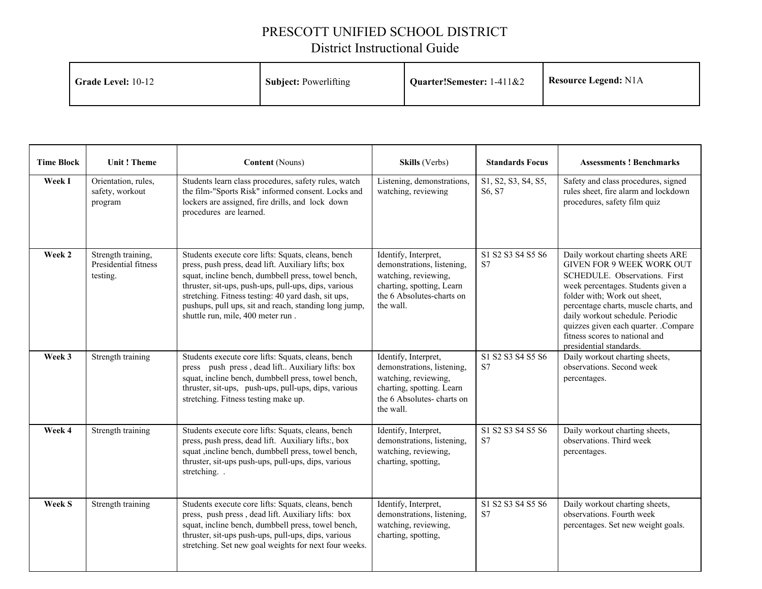## PRESCOTT UNIFIED SCHOOL DISTRICT

## District Instructional Guide

| <b>Grade Level: 10-12</b> | <b>Subject: Powerlifting</b> | <b>Quarter!</b> Semester: $1-411\&2$ | <b>Resource Legend: N1A</b> |
|---------------------------|------------------------------|--------------------------------------|-----------------------------|
|---------------------------|------------------------------|--------------------------------------|-----------------------------|

| <b>Time Block</b> | <b>Unit! Theme</b>                                     | <b>Content</b> (Nouns)                                                                                                                                                                                                                                                                                                                                                      | Skills (Verbs)                                                                                                                                    | <b>Standards Focus</b>         | <b>Assessments ! Benchmarks</b>                                                                                                                                                                                                                                                                                                                                |
|-------------------|--------------------------------------------------------|-----------------------------------------------------------------------------------------------------------------------------------------------------------------------------------------------------------------------------------------------------------------------------------------------------------------------------------------------------------------------------|---------------------------------------------------------------------------------------------------------------------------------------------------|--------------------------------|----------------------------------------------------------------------------------------------------------------------------------------------------------------------------------------------------------------------------------------------------------------------------------------------------------------------------------------------------------------|
| Week I            | Orientation, rules,<br>safety, workout<br>program      | Students learn class procedures, safety rules, watch<br>the film-"Sports Risk" informed consent. Locks and<br>lockers are assigned, fire drills, and lock down<br>procedures are learned.                                                                                                                                                                                   | Listening, demonstrations,<br>watching, reviewing                                                                                                 | S1, S2, S3, S4, S5,<br>S6, S7  | Safety and class procedures, signed<br>rules sheet, fire alarm and lockdown<br>procedures, safety film quiz                                                                                                                                                                                                                                                    |
| Week 2            | Strength training,<br>Presidential fitness<br>testing. | Students execute core lifts: Squats, cleans, bench<br>press, push press, dead lift. Auxiliary lifts; box<br>squat, incline bench, dumbbell press, towel bench,<br>thruster, sit-ups, push-ups, pull-ups, dips, various<br>stretching. Fitness testing: 40 yard dash, sit ups,<br>pushups, pull ups, sit and reach, standing long jump,<br>shuttle run, mile, 400 meter run. | Identify, Interpret,<br>demonstrations, listening,<br>watching, reviewing,<br>charting, spotting, Learn<br>the 6 Absolutes-charts on<br>the wall. | S1 S2 S3 S4 S5 S6<br><b>S7</b> | Daily workout charting sheets ARE<br><b>GIVEN FOR 9 WEEK WORK OUT</b><br>SCHEDULE, Observations, First<br>week percentages. Students given a<br>folder with; Work out sheet,<br>percentage charts, muscle charts, and<br>daily workout schedule. Periodic<br>quizzes given each quarter. .Compare<br>fitness scores to national and<br>presidential standards. |
| Week 3            | Strength training                                      | Students execute core lifts: Squats, cleans, bench<br>press push press, dead lift Auxiliary lifts: box<br>squat, incline bench, dumbbell press, towel bench,<br>thruster, sit-ups, push-ups, pull-ups, dips, various<br>stretching. Fitness testing make up.                                                                                                                | Identify, Interpret,<br>demonstrations, listening,<br>watching, reviewing,<br>charting, spotting. Learn<br>the 6 Absolutes-charts on<br>the wall. | S1 S2 S3 S4 S5 S6<br><b>S7</b> | Daily workout charting sheets,<br>observations. Second week<br>percentages.                                                                                                                                                                                                                                                                                    |
| Week 4            | Strength training                                      | Students execute core lifts: Squats, cleans, bench<br>press, push press, dead lift. Auxiliary lifts:, box<br>squat , incline bench, dumbbell press, towel bench,<br>thruster, sit-ups push-ups, pull-ups, dips, various<br>stretching.                                                                                                                                      | Identify, Interpret,<br>demonstrations, listening,<br>watching, reviewing,<br>charting, spotting,                                                 | S1 S2 S3 S4 S5 S6<br>S7        | Daily workout charting sheets,<br>observations. Third week<br>percentages.                                                                                                                                                                                                                                                                                     |
| <b>Week S</b>     | Strength training                                      | Students execute core lifts: Squats, cleans, bench<br>press, push press, dead lift. Auxiliary lifts: box<br>squat, incline bench, dumbbell press, towel bench,<br>thruster, sit-ups push-ups, pull-ups, dips, various<br>stretching. Set new goal weights for next four weeks.                                                                                              | Identify, Interpret,<br>demonstrations, listening,<br>watching, reviewing,<br>charting, spotting,                                                 | S1 S2 S3 S4 S5 S6<br>S7        | Daily workout charting sheets,<br>observations. Fourth week<br>percentages. Set new weight goals.                                                                                                                                                                                                                                                              |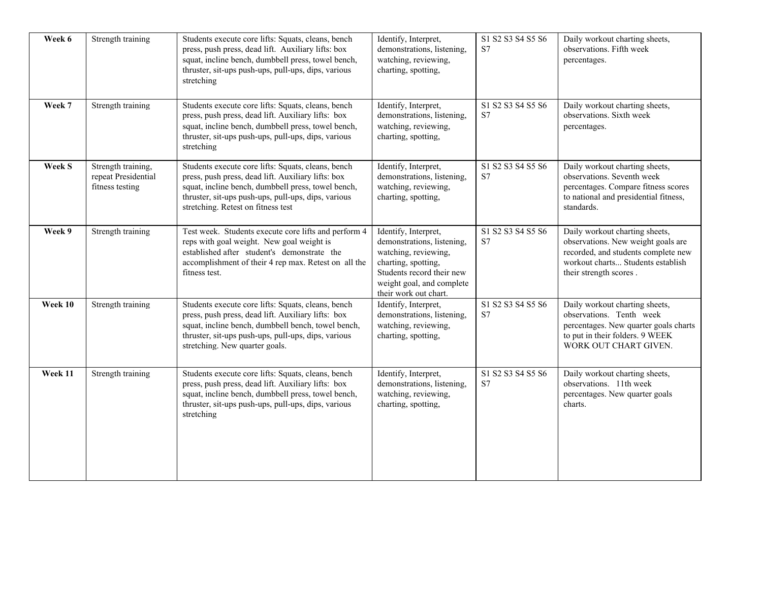| Week 6  | Strength training                                            | Students execute core lifts: Squats, cleans, bench<br>press, push press, dead lift. Auxiliary lifts: box<br>squat, incline bench, dumbbell press, towel bench,<br>thruster, sit-ups push-ups, pull-ups, dips, various<br>stretching                         | Identify, Interpret,<br>demonstrations, listening,<br>watching, reviewing,<br>charting, spotting,                                                                                    | S1 S2 S3 S4 S5 S6<br>S7 | Daily workout charting sheets,<br>observations. Fifth week<br>percentages.                                                                                                 |
|---------|--------------------------------------------------------------|-------------------------------------------------------------------------------------------------------------------------------------------------------------------------------------------------------------------------------------------------------------|--------------------------------------------------------------------------------------------------------------------------------------------------------------------------------------|-------------------------|----------------------------------------------------------------------------------------------------------------------------------------------------------------------------|
| Week 7  | Strength training                                            | Students execute core lifts: Squats, cleans, bench<br>press, push press, dead lift. Auxiliary lifts: box<br>squat, incline bench, dumbbell press, towel bench,<br>thruster, sit-ups push-ups, pull-ups, dips, various<br>stretching                         | Identify, Interpret,<br>demonstrations, listening,<br>watching, reviewing,<br>charting, spotting,                                                                                    | S1 S2 S3 S4 S5 S6<br>S7 | Daily workout charting sheets,<br>observations. Sixth week<br>percentages.                                                                                                 |
| Week S  | Strength training,<br>repeat Presidential<br>fitness testing | Students execute core lifts: Squats, cleans, bench<br>press, push press, dead lift. Auxiliary lifts: box<br>squat, incline bench, dumbbell press, towel bench,<br>thruster, sit-ups push-ups, pull-ups, dips, various<br>stretching. Retest on fitness test | Identify, Interpret,<br>demonstrations, listening,<br>watching, reviewing,<br>charting, spotting,                                                                                    | S1 S2 S3 S4 S5 S6<br>S7 | Daily workout charting sheets,<br>observations. Seventh week<br>percentages. Compare fitness scores<br>to national and presidential fitness,<br>standards.                 |
| Week 9  | Strength training                                            | Test week. Students execute core lifts and perform 4<br>reps with goal weight. New goal weight is<br>established after student's demonstrate the<br>accomplishment of their 4 rep max. Retest on all the<br>fitness test.                                   | Identify, Interpret,<br>demonstrations, listening,<br>watching, reviewing,<br>charting, spotting,<br>Students record their new<br>weight goal, and complete<br>their work out chart. | S1 S2 S3 S4 S5 S6<br>S7 | Daily workout charting sheets,<br>observations. New weight goals are<br>recorded, and students complete new<br>workout charts Students establish<br>their strength scores. |
| Week 10 | Strength training                                            | Students execute core lifts: Squats, cleans, bench<br>press, push press, dead lift. Auxiliary lifts: box<br>squat, incline bench, dumbbell bench, towel bench,<br>thruster, sit-ups push-ups, pull-ups, dips, various<br>stretching. New quarter goals.     | Identify, Interpret,<br>demonstrations, listening,<br>watching, reviewing,<br>charting, spotting,                                                                                    | S1 S2 S3 S4 S5 S6<br>S7 | Daily workout charting sheets,<br>observations. Tenth week<br>percentages. New quarter goals charts<br>to put in their folders. 9 WEEK<br>WORK OUT CHART GIVEN.            |
| Week 11 | Strength training                                            | Students execute core lifts: Squats, cleans, bench<br>press, push press, dead lift. Auxiliary lifts: box<br>squat, incline bench, dumbbell press, towel bench,<br>thruster, sit-ups push-ups, pull-ups, dips, various<br>stretching                         | Identify, Interpret,<br>demonstrations, listening,<br>watching, reviewing,<br>charting, spotting,                                                                                    | S1 S2 S3 S4 S5 S6<br>S7 | Daily workout charting sheets,<br>observations. 11th week<br>percentages. New quarter goals<br>charts.                                                                     |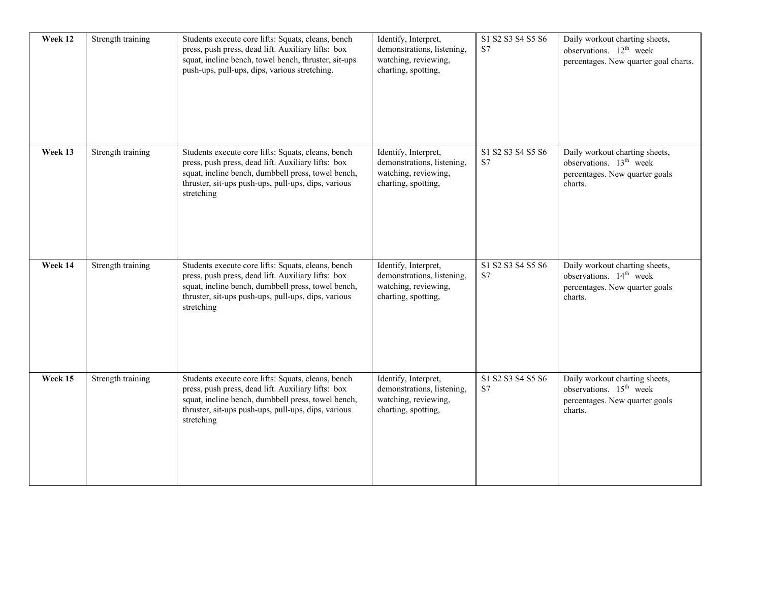| Week 12 | Strength training | Students execute core lifts: Squats, cleans, bench<br>press, push press, dead lift. Auxiliary lifts: box<br>squat, incline bench, towel bench, thruster, sit-ups<br>push-ups, pull-ups, dips, various stretching.                   | Identify, Interpret,<br>demonstrations, listening,<br>watching, reviewing,<br>charting, spotting, | S1 S2 S3 S4 S5 S6<br>S7 | Daily workout charting sheets,<br>observations. 12 <sup>th</sup> week<br>percentages. New quarter goal charts.     |
|---------|-------------------|-------------------------------------------------------------------------------------------------------------------------------------------------------------------------------------------------------------------------------------|---------------------------------------------------------------------------------------------------|-------------------------|--------------------------------------------------------------------------------------------------------------------|
| Week 13 | Strength training | Students execute core lifts: Squats, cleans, bench<br>press, push press, dead lift. Auxiliary lifts: box<br>squat, incline bench, dumbbell press, towel bench,<br>thruster, sit-ups push-ups, pull-ups, dips, various<br>stretching | Identify, Interpret,<br>demonstrations, listening,<br>watching, reviewing,<br>charting, spotting, | S1 S2 S3 S4 S5 S6<br>S7 | Daily workout charting sheets,<br>observations. 13 <sup>th</sup> week<br>percentages. New quarter goals<br>charts. |
| Week 14 | Strength training | Students execute core lifts: Squats, cleans, bench<br>press, push press, dead lift. Auxiliary lifts: box<br>squat, incline bench, dumbbell press, towel bench,<br>thruster, sit-ups push-ups, pull-ups, dips, various<br>stretching | Identify, Interpret,<br>demonstrations, listening,<br>watching, reviewing,<br>charting, spotting, | S1 S2 S3 S4 S5 S6<br>S7 | Daily workout charting sheets,<br>observations. 14 <sup>th</sup> week<br>percentages. New quarter goals<br>charts. |
| Week 15 | Strength training | Students execute core lifts: Squats, cleans, bench<br>press, push press, dead lift. Auxiliary lifts: box<br>squat, incline bench, dumbbell press, towel bench,<br>thruster, sit-ups push-ups, pull-ups, dips, various<br>stretching | Identify, Interpret,<br>demonstrations, listening,<br>watching, reviewing,<br>charting, spotting, | S1 S2 S3 S4 S5 S6<br>S7 | Daily workout charting sheets,<br>observations. 15 <sup>th</sup> week<br>percentages. New quarter goals<br>charts. |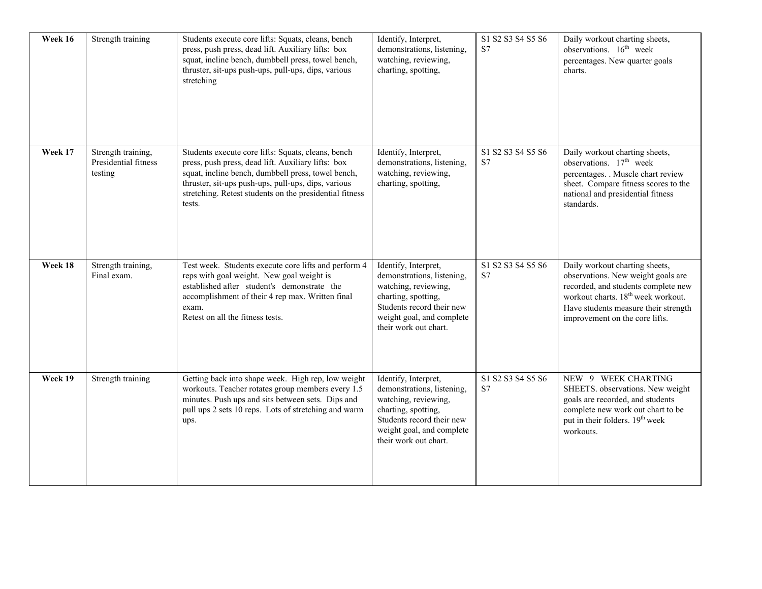| Week 16 | Strength training                                     | Students execute core lifts: Squats, cleans, bench<br>press, push press, dead lift. Auxiliary lifts: box<br>squat, incline bench, dumbbell press, towel bench,<br>thruster, sit-ups push-ups, pull-ups, dips, various<br>stretching                                                        | Identify, Interpret,<br>demonstrations, listening,<br>watching, reviewing,<br>charting, spotting,                                                                                    | S1 S2 S3 S4 S5 S6<br>S7 | Daily workout charting sheets,<br>observations. 16 <sup>th</sup> week<br>percentages. New quarter goals<br>charts.                                                                                                                      |
|---------|-------------------------------------------------------|--------------------------------------------------------------------------------------------------------------------------------------------------------------------------------------------------------------------------------------------------------------------------------------------|--------------------------------------------------------------------------------------------------------------------------------------------------------------------------------------|-------------------------|-----------------------------------------------------------------------------------------------------------------------------------------------------------------------------------------------------------------------------------------|
| Week 17 | Strength training,<br>Presidential fitness<br>testing | Students execute core lifts: Squats, cleans, bench<br>press, push press, dead lift. Auxiliary lifts: box<br>squat, incline bench, dumbbell press, towel bench,<br>thruster, sit-ups push-ups, pull-ups, dips, various<br>stretching. Retest students on the presidential fitness<br>tests. | Identify, Interpret,<br>demonstrations, listening,<br>watching, reviewing,<br>charting, spotting,                                                                                    | S1 S2 S3 S4 S5 S6<br>S7 | Daily workout charting sheets,<br>observations. 17 <sup>th</sup> week<br>percentages. . Muscle chart review<br>sheet. Compare fitness scores to the<br>national and presidential fitness<br>standards.                                  |
| Week 18 | Strength training,<br>Final exam.                     | Test week. Students execute core lifts and perform 4<br>reps with goal weight. New goal weight is<br>established after student's demonstrate the<br>accomplishment of their 4 rep max. Written final<br>exam.<br>Retest on all the fitness tests.                                          | Identify, Interpret,<br>demonstrations, listening,<br>watching, reviewing,<br>charting, spotting,<br>Students record their new<br>weight goal, and complete<br>their work out chart. | S1 S2 S3 S4 S5 S6<br>S7 | Daily workout charting sheets,<br>observations. New weight goals are<br>recorded, and students complete new<br>workout charts. 18 <sup>th</sup> week workout.<br>Have students measure their strength<br>improvement on the core lifts. |
| Week 19 | Strength training                                     | Getting back into shape week. High rep, low weight<br>workouts. Teacher rotates group members every 1.5<br>minutes. Push ups and sits between sets. Dips and<br>pull ups 2 sets 10 reps. Lots of stretching and warm<br>ups.                                                               | Identify, Interpret,<br>demonstrations, listening,<br>watching, reviewing,<br>charting, spotting,<br>Students record their new<br>weight goal, and complete<br>their work out chart. | S1 S2 S3 S4 S5 S6<br>S7 | NEW 9 WEEK CHARTING<br>SHEETS. observations. New weight<br>goals are recorded, and students<br>complete new work out chart to be<br>put in their folders. 19 <sup>th</sup> week<br>workouts.                                            |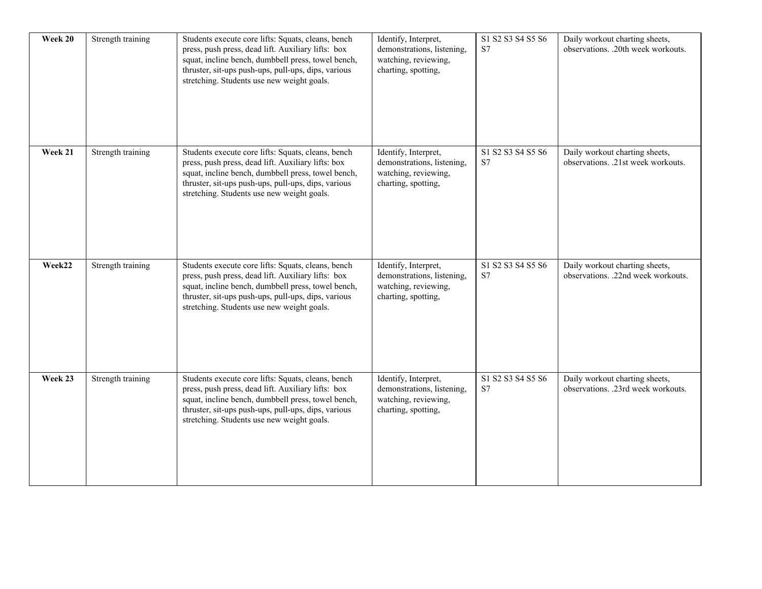| Week 20 | Strength training | Students execute core lifts: Squats, cleans, bench<br>press, push press, dead lift. Auxiliary lifts: box<br>squat, incline bench, dumbbell press, towel bench,<br>thruster, sit-ups push-ups, pull-ups, dips, various<br>stretching. Students use new weight goals. | Identify, Interpret,<br>demonstrations, listening,<br>watching, reviewing,<br>charting, spotting, | S1 S2 S3 S4 S5 S6<br>S7 | Daily workout charting sheets,<br>observations. .20th week workouts. |
|---------|-------------------|---------------------------------------------------------------------------------------------------------------------------------------------------------------------------------------------------------------------------------------------------------------------|---------------------------------------------------------------------------------------------------|-------------------------|----------------------------------------------------------------------|
| Week 21 | Strength training | Students execute core lifts: Squats, cleans, bench<br>press, push press, dead lift. Auxiliary lifts: box<br>squat, incline bench, dumbbell press, towel bench,<br>thruster, sit-ups push-ups, pull-ups, dips, various<br>stretching. Students use new weight goals. | Identify, Interpret,<br>demonstrations, listening,<br>watching, reviewing,<br>charting, spotting, | S1 S2 S3 S4 S5 S6<br>S7 | Daily workout charting sheets,<br>observations. .21st week workouts. |
| Week22  | Strength training | Students execute core lifts: Squats, cleans, bench<br>press, push press, dead lift. Auxiliary lifts: box<br>squat, incline bench, dumbbell press, towel bench,<br>thruster, sit-ups push-ups, pull-ups, dips, various<br>stretching. Students use new weight goals. | Identify, Interpret,<br>demonstrations, listening,<br>watching, reviewing,<br>charting, spotting, | S1 S2 S3 S4 S5 S6<br>S7 | Daily workout charting sheets,<br>observations. .22nd week workouts. |
| Week 23 | Strength training | Students execute core lifts: Squats, cleans, bench<br>press, push press, dead lift. Auxiliary lifts: box<br>squat, incline bench, dumbbell press, towel bench,<br>thruster, sit-ups push-ups, pull-ups, dips, various<br>stretching. Students use new weight goals. | Identify, Interpret,<br>demonstrations, listening,<br>watching, reviewing,<br>charting, spotting, | S1 S2 S3 S4 S5 S6<br>S7 | Daily workout charting sheets,<br>observations. .23rd week workouts. |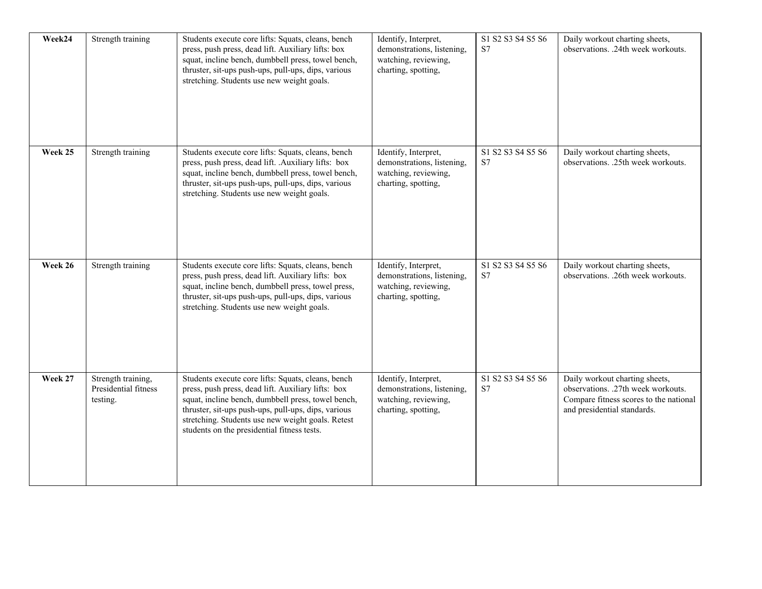| Week24  | Strength training                                      | Students execute core lifts: Squats, cleans, bench<br>press, push press, dead lift. Auxiliary lifts: box<br>squat, incline bench, dumbbell press, towel bench,<br>thruster, sit-ups push-ups, pull-ups, dips, various<br>stretching. Students use new weight goals.                                                       | Identify, Interpret,<br>demonstrations, listening,<br>watching, reviewing,<br>charting, spotting, | S1 S2 S3 S4 S5 S6<br>S7 | Daily workout charting sheets,<br>observations. .24th week workouts.                                                                          |
|---------|--------------------------------------------------------|---------------------------------------------------------------------------------------------------------------------------------------------------------------------------------------------------------------------------------------------------------------------------------------------------------------------------|---------------------------------------------------------------------------------------------------|-------------------------|-----------------------------------------------------------------------------------------------------------------------------------------------|
| Week 25 | Strength training                                      | Students execute core lifts: Squats, cleans, bench<br>press, push press, dead lift. .Auxiliary lifts: box<br>squat, incline bench, dumbbell press, towel bench,<br>thruster, sit-ups push-ups, pull-ups, dips, various<br>stretching. Students use new weight goals.                                                      | Identify, Interpret,<br>demonstrations, listening,<br>watching, reviewing,<br>charting, spotting, | S1 S2 S3 S4 S5 S6<br>S7 | Daily workout charting sheets,<br>observations. .25th week workouts.                                                                          |
| Week 26 | Strength training                                      | Students execute core lifts: Squats, cleans, bench<br>press, push press, dead lift. Auxiliary lifts: box<br>squat, incline bench, dumbbell press, towel press,<br>thruster, sit-ups push-ups, pull-ups, dips, various<br>stretching. Students use new weight goals.                                                       | Identify, Interpret,<br>demonstrations, listening,<br>watching, reviewing,<br>charting, spotting, | S1 S2 S3 S4 S5 S6<br>S7 | Daily workout charting sheets,<br>observations. .26th week workouts.                                                                          |
| Week 27 | Strength training,<br>Presidential fitness<br>testing. | Students execute core lifts: Squats, cleans, bench<br>press, push press, dead lift. Auxiliary lifts: box<br>squat, incline bench, dumbbell press, towel bench,<br>thruster, sit-ups push-ups, pull-ups, dips, various<br>stretching. Students use new weight goals. Retest<br>students on the presidential fitness tests. | Identify, Interpret,<br>demonstrations, listening,<br>watching, reviewing,<br>charting, spotting, | S1 S2 S3 S4 S5 S6<br>S7 | Daily workout charting sheets,<br>observations. .27th week workouts.<br>Compare fitness scores to the national<br>and presidential standards. |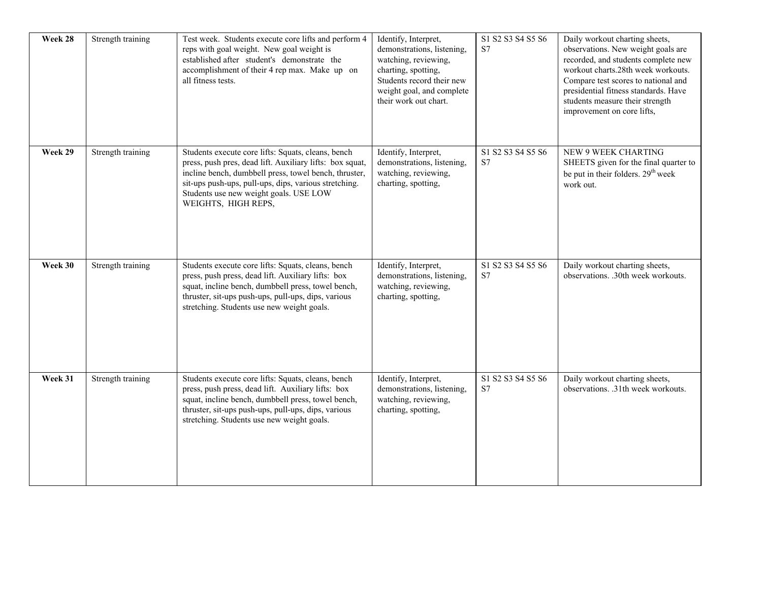| Week 28 | Strength training | Test week. Students execute core lifts and perform 4<br>reps with goal weight. New goal weight is<br>established after student's demonstrate the<br>accomplishment of their 4 rep max. Make up on<br>all fitness tests.                                                                           | Identify, Interpret,<br>demonstrations, listening,<br>watching, reviewing,<br>charting, spotting,<br>Students record their new<br>weight goal, and complete<br>their work out chart. | S1 S2 S3 S4 S5 S6<br>S7 | Daily workout charting sheets,<br>observations. New weight goals are<br>recorded, and students complete new<br>workout charts.28th week workouts.<br>Compare test scores to national and<br>presidential fitness standards. Have<br>students measure their strength<br>improvement on core lifts, |
|---------|-------------------|---------------------------------------------------------------------------------------------------------------------------------------------------------------------------------------------------------------------------------------------------------------------------------------------------|--------------------------------------------------------------------------------------------------------------------------------------------------------------------------------------|-------------------------|---------------------------------------------------------------------------------------------------------------------------------------------------------------------------------------------------------------------------------------------------------------------------------------------------|
| Week 29 | Strength training | Students execute core lifts: Squats, cleans, bench<br>press, push pres, dead lift. Auxiliary lifts: box squat,<br>incline bench, dumbbell press, towel bench, thruster,<br>sit-ups push-ups, pull-ups, dips, various stretching.<br>Students use new weight goals. USE LOW<br>WEIGHTS, HIGH REPS, | Identify, Interpret,<br>demonstrations, listening,<br>watching, reviewing,<br>charting, spotting,                                                                                    | S1 S2 S3 S4 S5 S6<br>S7 | NEW 9 WEEK CHARTING<br>SHEETS given for the final quarter to<br>be put in their folders. 29 <sup>th</sup> week<br>work out.                                                                                                                                                                       |
| Week 30 | Strength training | Students execute core lifts: Squats, cleans, bench<br>press, push press, dead lift. Auxiliary lifts: box<br>squat, incline bench, dumbbell press, towel bench,<br>thruster, sit-ups push-ups, pull-ups, dips, various<br>stretching. Students use new weight goals.                               | Identify, Interpret,<br>demonstrations, listening,<br>watching, reviewing,<br>charting, spotting,                                                                                    | S1 S2 S3 S4 S5 S6<br>S7 | Daily workout charting sheets,<br>observations. .30th week workouts.                                                                                                                                                                                                                              |
| Week 31 | Strength training | Students execute core lifts: Squats, cleans, bench<br>press, push press, dead lift. Auxiliary lifts: box<br>squat, incline bench, dumbbell press, towel bench,<br>thruster, sit-ups push-ups, pull-ups, dips, various<br>stretching. Students use new weight goals.                               | Identify, Interpret,<br>demonstrations, listening,<br>watching, reviewing,<br>charting, spotting,                                                                                    | S1 S2 S3 S4 S5 S6<br>S7 | Daily workout charting sheets,<br>observations. .31th week workouts.                                                                                                                                                                                                                              |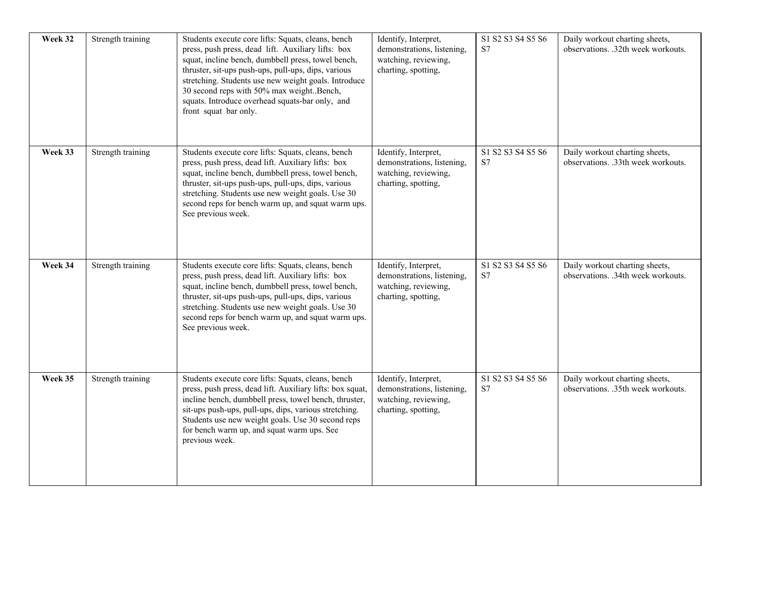| Week 32 | Strength training | Students execute core lifts: Squats, cleans, bench<br>press, push press, dead lift. Auxiliary lifts: box<br>squat, incline bench, dumbbell press, towel bench,<br>thruster, sit-ups push-ups, pull-ups, dips, various<br>stretching. Students use new weight goals. Introduce<br>30 second reps with 50% max weight. Bench,<br>squats. Introduce overhead squats-bar only, and<br>front squat bar only. | Identify, Interpret,<br>demonstrations, listening,<br>watching, reviewing,<br>charting, spotting, | S1 S2 S3 S4 S5 S6<br>S7                         | Daily workout charting sheets,<br>observations. .32th week workouts. |
|---------|-------------------|---------------------------------------------------------------------------------------------------------------------------------------------------------------------------------------------------------------------------------------------------------------------------------------------------------------------------------------------------------------------------------------------------------|---------------------------------------------------------------------------------------------------|-------------------------------------------------|----------------------------------------------------------------------|
| Week 33 | Strength training | Students execute core lifts: Squats, cleans, bench<br>press, push press, dead lift. Auxiliary lifts: box<br>squat, incline bench, dumbbell press, towel bench,<br>thruster, sit-ups push-ups, pull-ups, dips, various<br>stretching. Students use new weight goals. Use 30<br>second reps for bench warm up, and squat warm ups.<br>See previous week.                                                  | Identify, Interpret,<br>demonstrations, listening,<br>watching, reviewing,<br>charting, spotting, | S1 S2 S3 S4 S5 S6<br>S7                         | Daily workout charting sheets,<br>observations. .33th week workouts. |
| Week 34 | Strength training | Students execute core lifts: Squats, cleans, bench<br>press, push press, dead lift. Auxiliary lifts: box<br>squat, incline bench, dumbbell press, towel bench,<br>thruster, sit-ups push-ups, pull-ups, dips, various<br>stretching. Students use new weight goals. Use 30<br>second reps for bench warm up, and squat warm ups.<br>See previous week.                                                  | Identify, Interpret,<br>demonstrations, listening,<br>watching, reviewing,<br>charting, spotting, | S1 S2 S3 S4 S5 S6<br>S7                         | Daily workout charting sheets,<br>observations. .34th week workouts. |
| Week 35 | Strength training | Students execute core lifts: Squats, cleans, bench<br>press, push press, dead lift. Auxiliary lifts: box squat,<br>incline bench, dumbbell press, towel bench, thruster,<br>sit-ups push-ups, pull-ups, dips, various stretching.<br>Students use new weight goals. Use 30 second reps<br>for bench warm up, and squat warm ups. See<br>previous week.                                                  | Identify, Interpret,<br>demonstrations, listening,<br>watching, reviewing,<br>charting, spotting, | S1 S2 S3 S4 S5 S6<br>$\ensuremath{\mathrm{S7}}$ | Daily workout charting sheets,<br>observations. .35th week workouts. |